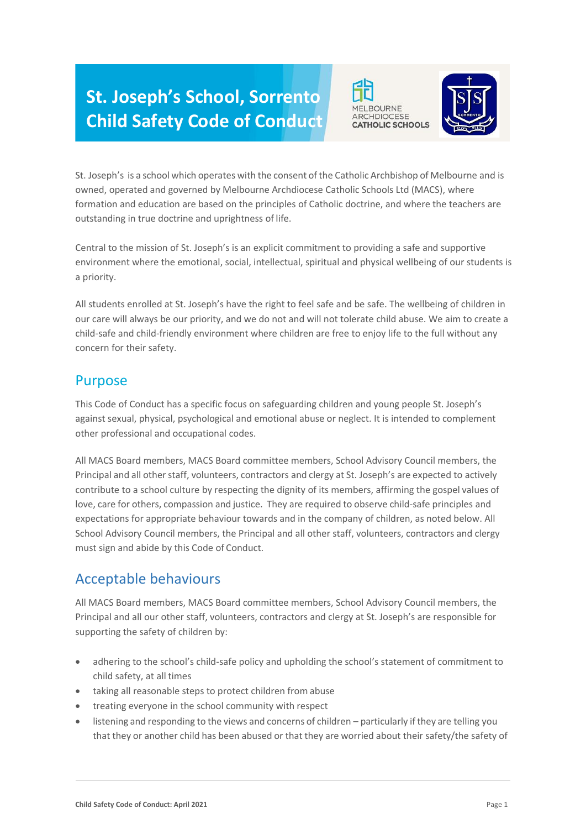# **St. Joseph's School, Sorrento Child Safety Code of Conduct**





St. Joseph's is a school which operates with the consent of the Catholic Archbishop of Melbourne and is owned, operated and governed by Melbourne Archdiocese Catholic Schools Ltd (MACS), where formation and education are based on the principles of Catholic doctrine, and where the teachers are outstanding in true doctrine and uprightness of life.

Central to the mission of St. Joseph's is an explicit commitment to providing a safe and supportive environment where the emotional, social, intellectual, spiritual and physical wellbeing of our students is a priority.

All students enrolled at St. Joseph's have the right to feel safe and be safe. The wellbeing of children in our care will always be our priority, and we do not and will not tolerate child abuse. We aim to create a child-safe and child-friendly environment where children are free to enjoy life to the full without any concern for their safety.

#### Purpose

This Code of Conduct has a specific focus on safeguarding children and young people St. Joseph's against sexual, physical, psychological and emotional abuse or neglect. It is intended to complement other professional and occupational codes.

All MACS Board members, MACS Board committee members, School Advisory Council members, the Principal and all other staff, volunteers, contractors and clergy at St. Joseph's are expected to actively contribute to a school culture by respecting the dignity of its members, affirming the gospel values of love, care for others, compassion and justice. They are required to observe child-safe principles and expectations for appropriate behaviour towards and in the company of children, as noted below. All School Advisory Council members, the Principal and all other staff, volunteers, contractors and clergy must sign and abide by this Code of Conduct.

# Acceptable behaviours

All MACS Board members, MACS Board committee members, School Advisory Council members, the Principal and all our other staff, volunteers, contractors and clergy at St. Joseph's are responsible for supporting the safety of children by:

- adhering to the school's child-safe policy and upholding the school's statement of commitment to child safety, at all times
- taking all reasonable steps to protect children from abuse
- treating everyone in the school community with respect
- listening and responding to the views and concerns of children particularly if they are telling you that they or another child has been abused or that they are worried about their safety/the safety of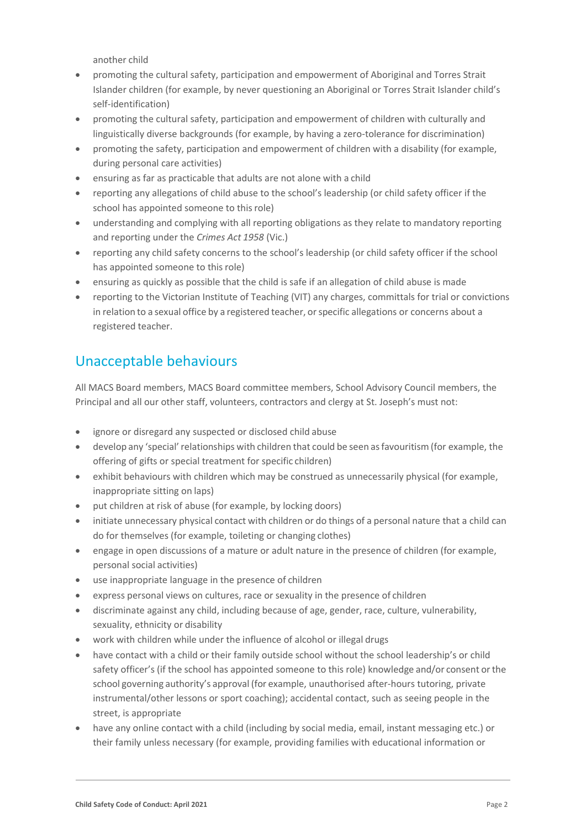another child

- promoting the cultural safety, participation and empowerment of Aboriginal and Torres Strait Islander children (for example, by never questioning an Aboriginal or Torres Strait Islander child's self-identification)
- promoting the cultural safety, participation and empowerment of children with culturally and linguistically diverse backgrounds (for example, by having a zero-tolerance for discrimination)
- promoting the safety, participation and empowerment of children with a disability (for example, during personal care activities)
- ensuring as far as practicable that adults are not alone with a child
- reporting any allegations of child abuse to the school's leadership (or child safety officer if the school has appointed someone to this role)
- understanding and complying with all reporting obligations as they relate to mandatory reporting and reporting under the *Crimes Act 1958* (Vic.)
- reporting any child safety concerns to the school's leadership (or child safety officer if the school has appointed someone to thisrole)
- ensuring as quickly as possible that the child is safe if an allegation of child abuse is made
- reporting to the Victorian Institute of Teaching (VIT) any charges, committals for trial or convictions in relation to a sexual office by a registered teacher, or specific allegations or concerns about a registered teacher.

# Unacceptable behaviours

All MACS Board members, MACS Board committee members, School Advisory Council members, the Principal and all our other staff, volunteers, contractors and clergy at St. Joseph's must not:

- ignore or disregard any suspected or disclosed child abuse
- develop any 'special'relationships with children that could be seen asfavouritism (for example, the offering of gifts or special treatment for specific children)
- exhibit behaviours with children which may be construed as unnecessarily physical (for example, inappropriate sitting on laps)
- put children at risk of abuse (for example, by locking doors)
- initiate unnecessary physical contact with children or do things of a personal nature that a child can do for themselves (for example, toileting or changing clothes)
- engage in open discussions of a mature or adult nature in the presence of children (for example, personal social activities)
- use inappropriate language in the presence of children
- express personal views on cultures, race or sexuality in the presence of children
- discriminate against any child, including because of age, gender, race, culture, vulnerability, sexuality, ethnicity or disability
- work with children while under the influence of alcohol or illegal drugs
- have contact with a child or their family outside school without the school leadership's or child safety officer's (if the school has appointed someone to this role) knowledge and/or consent orthe school governing authority's approval (for example, unauthorised after-hours tutoring, private instrumental/other lessons or sport coaching); accidental contact, such as seeing people in the street, is appropriate
- have any online contact with a child (including by social media, email, instant messaging etc.) or their family unless necessary (for example, providing families with educational information or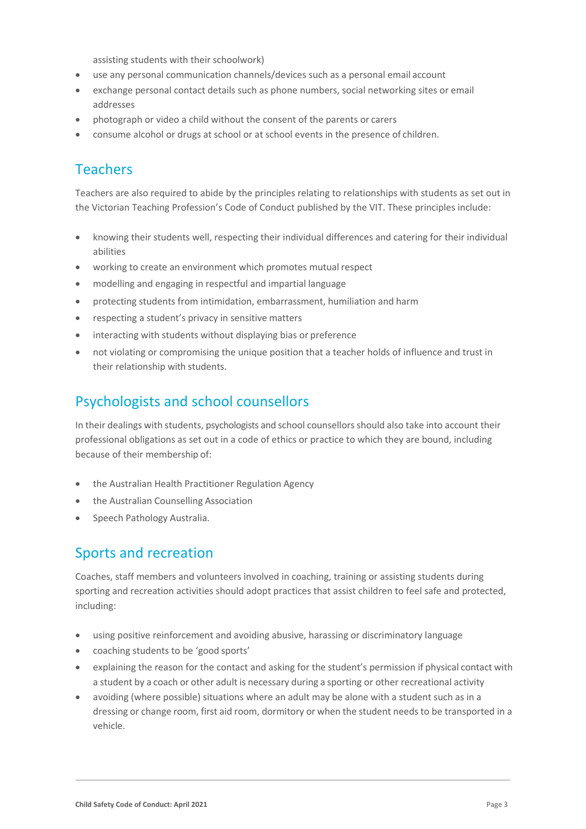assisting students with their schoolwork)

- use any personal communication channels/devices such as a personal email account
- exchange personal contact details such as phone numbers, social networking sites or email addresses
- photograph or video a child without the consent of the parents or carers
- consume alcohol or drugs at school or at school events in the presence of children.

### Teachers

Teachers are also required to abide by the principles relating to relationships with students as set out in the Victorian Teaching Profession's Code of Conduct published by the VIT. These principles include:

- knowing their students well, respecting their individual differences and catering for their individual abilities
- working to create an environment which promotes mutual respect
- modelling and engaging in respectful and impartial language
- protecting students from intimidation, embarrassment, humiliation and harm
- respecting a student's privacy in sensitive matters
- interacting with students without displaying bias or preference
- not violating or compromising the unique position that a teacher holds of influence and trust in their relationship with students.

#### Psychologists and school counsellors

In their dealings with students, psychologists and school counsellorsshould also take into account their professional obligations as set out in a code of ethics or practice to which they are bound, including because of their membership of:

- the Australian Health Practitioner Regulation Agency
- the Australian Counselling Association
- Speech Pathology Australia.

### Sports and recreation

Coaches, staff members and volunteers involved in coaching, training or assisting students during sporting and recreation activities should adopt practices that assist children to feel safe and protected, including:

- using positive reinforcement and avoiding abusive, harassing or discriminatory language
- coaching students to be 'good sports'
- explaining the reason for the contact and asking for the student's permission if physical contact with a student by a coach or other adult is necessary during a sporting or other recreational activity
- avoiding (where possible) situations where an adult may be alone with a student such as in a dressing or change room, first aid room, dormitory or when the student needs to be transported in a vehicle.